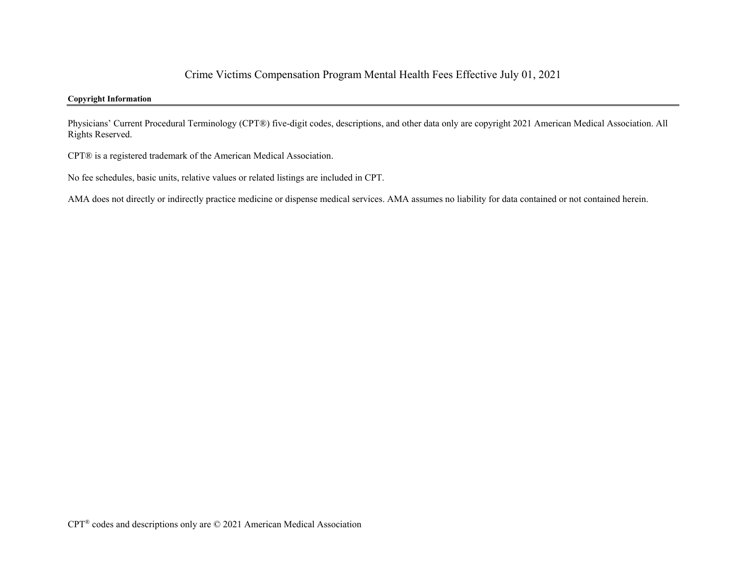## **Copyright Information**

Physicians' Current Procedural Terminology (CPT®) five-digit codes, descriptions, and other data only are copyright 2021 American Medical Association. All Rights Reserved.

CPT® is a registered trademark of the American Medical Association.

No fee schedules, basic units, relative values or related listings are included in CPT.

AMA does not directly or indirectly practice medicine or dispense medical services. AMA assumes no liability for data contained or not contained herein.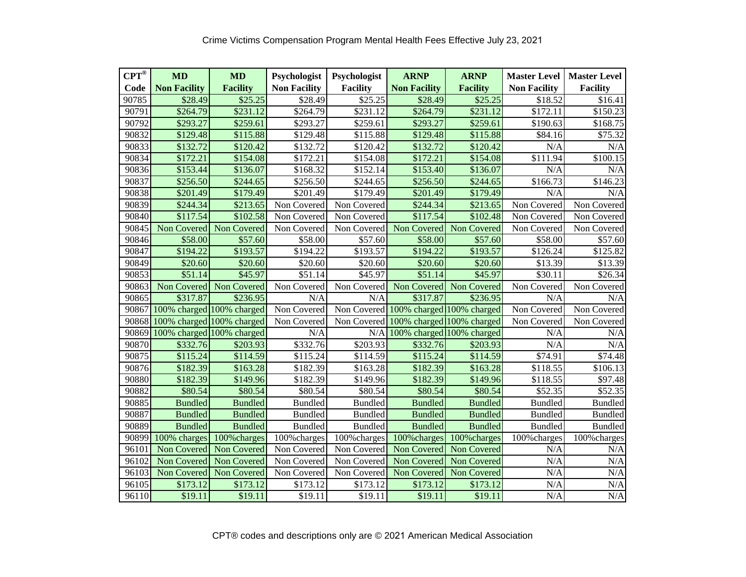| $CPT^{\otimes}$ | <b>MD</b>           | <b>MD</b>                 | Psychologist        | Psychologist        | <b>ARNP</b>                           | <b>ARNP</b>               | <b>Master Level</b> | <b>Master Level</b> |  |
|-----------------|---------------------|---------------------------|---------------------|---------------------|---------------------------------------|---------------------------|---------------------|---------------------|--|
| Code            | <b>Non Facility</b> | <b>Facility</b>           | <b>Non Facility</b> | <b>Facility</b>     | <b>Non Facility</b>                   | <b>Facility</b>           | <b>Non Facility</b> | <b>Facility</b>     |  |
| 90785           | \$28.49             | \$25.25                   | \$28.49             | $\overline{$}25.25$ | \$28.49                               | \$25.25                   | \$18.52             | \$16.41             |  |
| 90791           | \$264.79            | \$231.12                  | \$264.79            | \$231.12            | \$264.79                              | \$231.12                  | \$172.11            | \$150.23            |  |
| 90792           | \$293.27            | \$259.61                  | \$293.27            | \$259.61            | \$293.27                              | \$259.61                  | \$190.63            | \$168.75            |  |
| 90832           | \$129.48            | \$115.88                  | \$129.48            | \$115.88            | \$129.48                              | \$115.88                  | \$84.16             | \$75.32             |  |
| 90833           | \$132.72            | \$120.42                  | \$132.72            | \$120.42            | \$132.72                              | \$120.42                  | N/A                 | N/A                 |  |
| 90834           | \$172.21            | \$154.08                  | \$172.21            | \$154.08            | \$172.21                              | \$154.08                  | \$111.94            | \$100.15            |  |
| 90836           | \$153.44            | \$136.07                  | \$168.32            | \$152.14            | \$153.40                              | \$136.07                  | N/A                 | N/A                 |  |
| 90837           | \$256.50            | \$244.65                  | \$256.50            | \$244.65            | \$256.50                              | \$244.65                  | \$166.73            | \$146.23            |  |
| 90838           | \$201.49            | \$179.49                  | \$201.49            | \$179.49            | \$201.49                              | \$179.49                  | N/A                 | N/A                 |  |
| 90839           | \$244.34            | \$213.65                  | Non Covered         | Non Covered         | \$244.34                              | \$213.65                  | Non Covered         | Non Covered         |  |
| 90840           | \$117.54            | \$102.58                  | Non Covered         | Non Covered         | \$117.54                              | \$102.48                  | Non Covered         | Non Covered         |  |
| 90845           | Non Covered         | Non Covered               | Non Covered         | Non Covered         | Non Covered                           | Non Covered               | Non Covered         | Non Covered         |  |
| 90846           | \$58.00             | $\overline{$}57.60$       | \$58.00             | \$57.60             | \$58.00                               | \$57.60                   | \$58.00             | \$57.60             |  |
| 90847           | \$194.22            | \$193.57                  | \$194.22            | \$193.57            | \$194.22                              | \$193.57                  | \$126.24            | \$125.82            |  |
| 90849           | \$20.60             | \$20.60                   | \$20.60             | \$20.60             | \$20.60                               | \$20.60                   | \$13.39             | \$13.39             |  |
| 90853           | \$51.14             | \$45.97                   | \$51.14             | \$45.97             | \$51.14                               | \$45.97                   | \$30.11             | \$26.34             |  |
| 90863           |                     | Non Covered Non Covered   | Non Covered         | Non Covered         | Non Covered                           | Non Covered               | Non Covered         | Non Covered         |  |
| 90865           | \$317.87            | \$236.95                  | N/A                 | N/A                 | \$317.87                              | \$236.95                  | N/A                 | N/A                 |  |
| 90867           |                     | 100% charged 100% charged | Non Covered         |                     | Non Covered 100% charged 100% charged |                           | Non Covered         | Non Covered         |  |
| 90868           |                     | 100% charged 100% charged | Non Covered         |                     | Non Covered 100% charged 100% charged |                           | Non Covered         | Non Covered         |  |
| 90869           |                     | 100% charged 100% charged | N/A                 | N/A                 | 100% charged 100% charged             |                           | N/A                 | N/A                 |  |
| 90870           | \$332.76            | \$203.93                  | \$332.76            | \$203.93            | \$332.76                              | \$203.93                  | N/A                 | N/A                 |  |
| 90875           | \$115.24            | \$114.59                  | \$115.24            | \$114.59            | \$115.24                              | \$114.59                  | $\overline{$}74.91$ | \$74.48             |  |
| 90876           | \$182.39            | \$163.28                  | \$182.39            | \$163.28            | \$182.39                              | \$163.28                  | \$118.55            | \$106.13            |  |
| 90880           | \$182.39            | \$149.96                  | \$182.39            | \$149.96            | \$182.39                              | \$149.96                  | \$118.55            | \$97.48             |  |
| 90882           | \$80.54             | \$80.54                   | \$80.54             | \$80.54             | \$80.54                               | \$80.54                   | \$52.35             | \$52.35             |  |
| 90885           | <b>Bundled</b>      | <b>Bundled</b>            | <b>Bundled</b>      | <b>Bundled</b>      | <b>Bundled</b>                        | <b>Bundled</b>            | <b>Bundled</b>      | <b>Bundled</b>      |  |
| 90887           | <b>Bundled</b>      | <b>Bundled</b>            | <b>Bundled</b>      | <b>Bundled</b>      | <b>Bundled</b>                        | <b>Bundled</b>            | <b>Bundled</b>      | <b>Bundled</b>      |  |
| 90889           | <b>Bundled</b>      | <b>Bundled</b>            | <b>Bundled</b>      | <b>Bundled</b>      | <b>Bundled</b>                        | <b>Bundled</b>            | <b>Bundled</b>      | <b>Bundled</b>      |  |
| 90899           |                     | 100% charges 100% charges | 100% charges        | 100% charges        |                                       | 100% charges 100% charges | 100% charges        | 100% charges        |  |
| 96101           | Non Covered         | Non Covered               | Non Covered         | Non Covered         |                                       | Non Covered Non Covered   | N/A                 | N/A                 |  |
| 96102           | Non Covered         | Non Covered               | Non Covered         | Non Covered         | Non Covered                           | Non Covered               | N/A                 | N/A                 |  |
| 96103           | Non Covered         | Non Covered               | Non Covered         | Non Covered         | Non Covered                           | Non Covered               | N/A                 | N/A                 |  |
| 96105           | \$173.12            | \$173.12                  | \$173.12            | \$173.12            | \$173.12                              | \$173.12                  | N/A                 | N/A                 |  |
| 96110           | \$19.11             | \$19.11                   | \$19.11             | \$19.11             | \$19.11                               | \$19.11                   | N/A                 | N/A                 |  |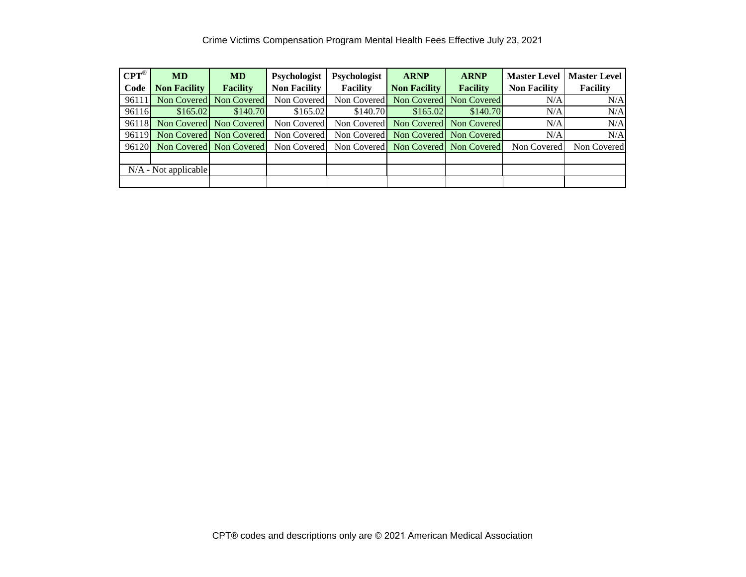| $CPT^{\circledR}$ | <b>MD</b>                     | <b>MD</b>               | Psychologist        | Psychologist    | <b>ARNP</b>                         | <b>ARNP</b>             | <b>Master Level</b> | <b>Master Level</b> |
|-------------------|-------------------------------|-------------------------|---------------------|-----------------|-------------------------------------|-------------------------|---------------------|---------------------|
| Code              | <b>Non Facility</b>           | <b>Facility</b>         | <b>Non Facility</b> | <b>Facility</b> | <b>Non Facility</b>                 | <b>Facility</b>         | <b>Non Facility</b> | <b>Facility</b>     |
| 96111             | Non Covered                   | Non Covered             | Non Covered         | Non Covered     |                                     | Non Covered Non Covered | N/A                 | N/A                 |
| 96116             | \$165.02                      | \$140.70                | \$165.02            | \$140.70        | \$165.02                            | \$140.70                | N/A                 | N/A                 |
| 96118             |                               | Non Covered Non Covered | Non Covered         |                 | Non Covered Non Covered Non Covered |                         | N/A                 | N/A                 |
| 96119             |                               | Non Covered Non Covered | Non Covered         |                 | Non Covered Non Covered Non Covered |                         | N/A                 | N/A                 |
|                   | 96120 Non Covered Non Covered |                         | Non Covered         |                 | Non Covered Non Covered Non Covered |                         | Non Covered         | Non Covered         |
|                   |                               |                         |                     |                 |                                     |                         |                     |                     |
|                   | $N/A$ - Not applicable        |                         |                     |                 |                                     |                         |                     |                     |
|                   |                               |                         |                     |                 |                                     |                         |                     |                     |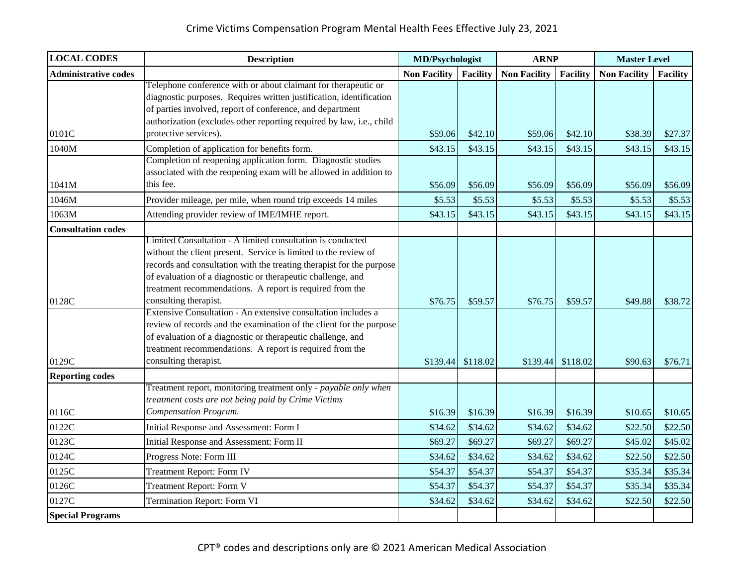| <b>LOCAL CODES</b>          | <b>Description</b>                                                                                                                  | <b>MD/Psychologist</b> |                   | <b>ARNP</b>         |                 | <b>Master Level</b> |                 |
|-----------------------------|-------------------------------------------------------------------------------------------------------------------------------------|------------------------|-------------------|---------------------|-----------------|---------------------|-----------------|
| <b>Administrative codes</b> |                                                                                                                                     | <b>Non Facility</b>    | Facility          | <b>Non Facility</b> | <b>Facility</b> | <b>Non Facility</b> | <b>Facility</b> |
|                             | Telephone conference with or about claimant for therapeutic or                                                                      |                        |                   |                     |                 |                     |                 |
|                             | diagnostic purposes. Requires written justification, identification                                                                 |                        |                   |                     |                 |                     |                 |
|                             | of parties involved, report of conference, and department                                                                           |                        |                   |                     |                 |                     |                 |
|                             | authorization (excludes other reporting required by law, i.e., child                                                                |                        |                   |                     |                 |                     |                 |
| 0101C                       | protective services).                                                                                                               | \$59.06                | \$42.10           | \$59.06             | \$42.10         | \$38.39             | \$27.37         |
| 1040M                       | Completion of application for benefits form.                                                                                        | \$43.15                | \$43.15           | \$43.15             | \$43.15         | \$43.15             | \$43.15         |
|                             | Completion of reopening application form. Diagnostic studies                                                                        |                        |                   |                     |                 |                     |                 |
| 1041M                       | associated with the reopening exam will be allowed in addition to<br>this fee.                                                      |                        | \$56.09           | \$56.09             | \$56.09         | \$56.09             | \$56.09         |
|                             |                                                                                                                                     | \$56.09                |                   |                     |                 |                     |                 |
| 1046M                       | Provider mileage, per mile, when round trip exceeds 14 miles                                                                        | \$5.53                 | \$5.53            | \$5.53              | \$5.53          | \$5.53              | \$5.53          |
| 1063M                       | Attending provider review of IME/IMHE report.                                                                                       | \$43.15                | \$43.15           | \$43.15             | \$43.15         | \$43.15             | \$43.15         |
| <b>Consultation codes</b>   |                                                                                                                                     |                        |                   |                     |                 |                     |                 |
|                             | Limited Consultation - A limited consultation is conducted                                                                          |                        |                   |                     |                 |                     |                 |
|                             | without the client present. Service is limited to the review of                                                                     |                        |                   |                     |                 |                     |                 |
|                             | records and consultation with the treating therapist for the purpose<br>of evaluation of a diagnostic or therapeutic challenge, and |                        |                   |                     |                 |                     |                 |
|                             | treatment recommendations. A report is required from the                                                                            |                        |                   |                     |                 |                     |                 |
| 0128C                       | consulting therapist.                                                                                                               | \$76.75                | \$59.57           | \$76.75             | \$59.57         | \$49.88             | \$38.72         |
|                             | Extensive Consultation - An extensive consultation includes a                                                                       |                        |                   |                     |                 |                     |                 |
|                             | review of records and the examination of the client for the purpose                                                                 |                        |                   |                     |                 |                     |                 |
|                             | of evaluation of a diagnostic or therapeutic challenge, and                                                                         |                        |                   |                     |                 |                     |                 |
|                             | treatment recommendations. A report is required from the                                                                            |                        |                   |                     |                 |                     |                 |
| 0129C                       | consulting therapist.                                                                                                               |                        | \$139.44 \$118.02 | \$139.44            | \$118.02        | \$90.63             | \$76.71         |
| <b>Reporting codes</b>      |                                                                                                                                     |                        |                   |                     |                 |                     |                 |
|                             | Treatment report, monitoring treatment only - payable only when                                                                     |                        |                   |                     |                 |                     |                 |
|                             | treatment costs are not being paid by Crime Victims                                                                                 |                        |                   |                     |                 |                     |                 |
| 0116C                       | Compensation Program.                                                                                                               | \$16.39                | \$16.39           | \$16.39             | \$16.39         | \$10.65             | \$10.65         |
| 0122C                       | Initial Response and Assessment: Form I                                                                                             | \$34.62                | \$34.62           | \$34.62             | \$34.62         | \$22.50             | \$22.50         |
| 0123C                       | Initial Response and Assessment: Form II                                                                                            | \$69.27                | \$69.27           | \$69.27             | \$69.27         | \$45.02             | \$45.02         |
| 0124C                       | Progress Note: Form III                                                                                                             | \$34.62                | \$34.62           | \$34.62             | \$34.62         | \$22.50             | \$22.50         |
| 0125C                       | <b>Treatment Report: Form IV</b>                                                                                                    | \$54.37                | \$54.37           | \$54.37             | \$54.37         | \$35.34             | \$35.34         |
| 0126C                       | <b>Treatment Report: Form V</b>                                                                                                     | \$54.37                | \$54.37           | \$54.37             | \$54.37         | \$35.34             | \$35.34         |
| 0127C                       | Termination Report: Form VI                                                                                                         | \$34.62                | \$34.62           | \$34.62             | \$34.62         | \$22.50             | \$22.50         |
| <b>Special Programs</b>     |                                                                                                                                     |                        |                   |                     |                 |                     |                 |